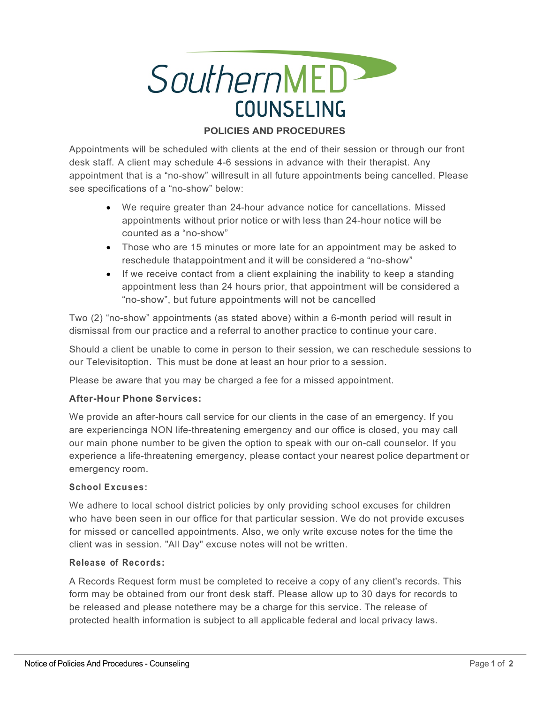

# **POLICIES AND PROCEDURES**

Appointments will be scheduled with clients at the end of their session or through our front desk staff. A client may schedule 4-6 sessions in advance with their therapist. Any appointment that is a "no-show" willresult in all future appointments being cancelled. Please see specifications of a "no-show" below:

- We require greater than 24-hour advance notice for cancellations. Missed appointments without prior notice or with less than 24-hour notice will be counted as a "no-show"
- Those who are 15 minutes or more late for an appointment may be asked to reschedule thatappointment and it will be considered a "no-show"
- If we receive contact from a client explaining the inability to keep a standing appointment less than 24 hours prior, that appointment will be considered a "no-show", but future appointments will not be cancelled

Two (2) "no-show" appointments (as stated above) within a 6-month period will result in dismissal from our practice and a referral to another practice to continue your care.

Should a client be unable to come in person to their session, we can reschedule sessions to our Televisitoption. This must be done at least an hour prior to a session.

Please be aware that you may be charged a fee for a missed appointment.

#### **After-Hour Phone Services:**

We provide an after-hours call service for our clients in the case of an emergency. If you are experiencinga NON life-threatening emergency and our office is closed, you may call our main phone number to be given the option to speak with our on-call counselor. If you experience a life-threatening emergency, please contact your nearest police department or emergency room.

#### **School Excuses:**

We adhere to local school district policies by only providing school excuses for children who have been seen in our office for that particular session. We do not provide excuses for missed or cancelled appointments. Also, we only write excuse notes for the time the client was in session. "All Day" excuse notes will not be written.

#### **Release of Records:**

A Records Request form must be completed to receive a copy of any client's records. This form may be obtained from our front desk staff. Please allow up to 30 days for records to be released and please notethere may be a charge for this service. The release of protected health information is subject to all applicable federal and local privacy laws.